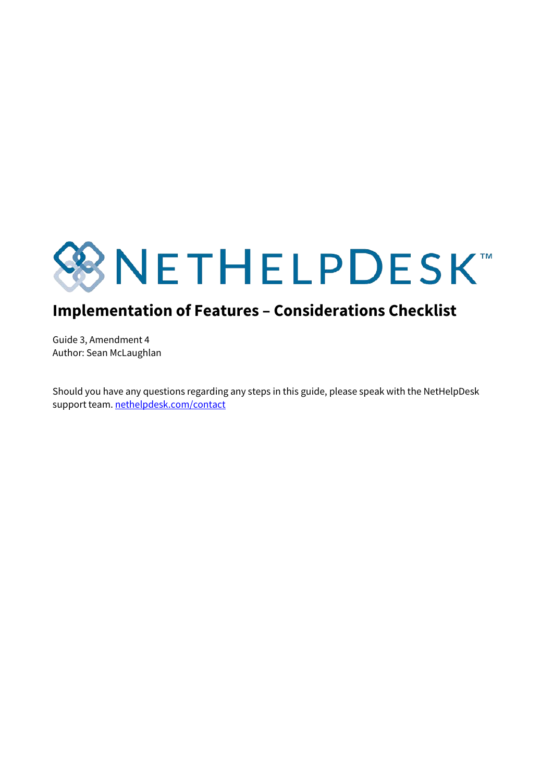

## **Implementation of Features – Considerations Checklist**

Guide 3, Amendment 4 Author: Sean McLaughlan

Should you have any questions regarding any steps in this guide, please speak with the NetHelpDesk support team. [nethelpdesk.com/contact](http://www.nethelpdesk.com/contact)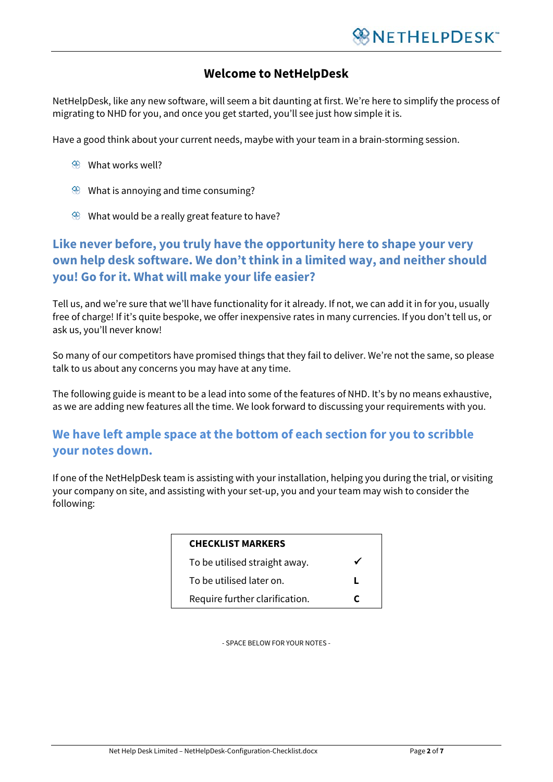#### **Welcome to NetHelpDesk**

NetHelpDesk, like any new software, will seem a bit daunting at first. We're here to simplify the process of migrating to NHD for you, and once you get started, you'll see just how simple it is.

Have a good think about your current needs, maybe with your team in a brain-storming session.

- What works well?
- œ, What is annoying and time consuming?
- $\circledast$  What would be a really great feature to have?

## **Like never before, you truly have the opportunity here to shape your very own help desk software. We don't think in a limited way, and neither should you! Go for it. What will make your life easier?**

Tell us, and we're sure that we'll have functionality for it already. If not, we can add it in for you, usually free of charge! If it's quite bespoke, we offer inexpensive rates in many currencies. If you don't tell us, or ask us, you'll never know!

So many of our competitors have promised things that they fail to deliver. We're not the same, so please talk to us about any concerns you may have at any time.

The following guide is meant to be a lead into some of the features of NHD. It's by no means exhaustive, as we are adding new features all the time. We look forward to discussing your requirements with you.

#### **We have left ample space at the bottom of each section for you to scribble your notes down.**

If one of the NetHelpDesk team is assisting with your installation, helping you during the trial, or visiting your company on site, and assisting with your set-up, you and your team may wish to consider the following:

| <b>CHECKLIST MARKERS</b>       |  |
|--------------------------------|--|
| To be utilised straight away.  |  |
| To be utilised later on.       |  |
| Require further clarification. |  |

- SPACE BELOW FOR YOUR NOTES -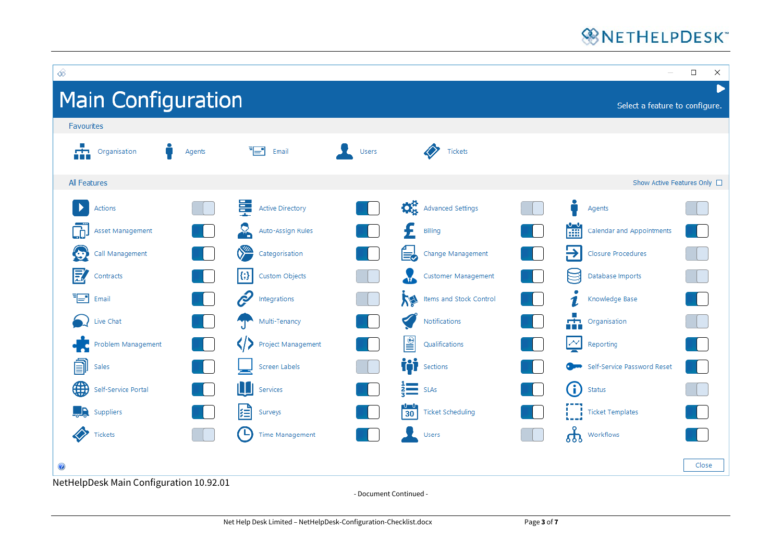## **WNETHELPDESK**\*



- Document Continued -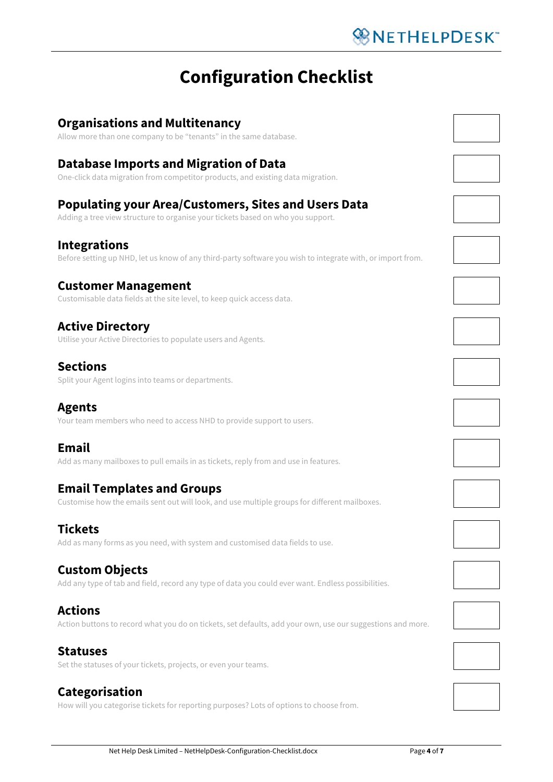# **Configuration Checklist**

## **Organisations and Multitenancy** Allow more than one company to be "tenants" in the same database. **Database Imports and Migration of Data** One-click data migration from competitor products, and existing data migration. **Populating your Area/Customers, Sites and Users Data** Adding a tree view structure to organise your tickets based on who you support. **Integrations** Before setting up NHD, let us know of any third-party software you wish to integrate with, or import from. **Customer Management** Customisable data fields at the site level, to keep quick access data. **Active Directory** Utilise your Active Directories to populate users and Agents. **Sections** Split your Agent logins into teams or departments. **Agents**

Your team members who need to access NHD to provide support to users.

## **Email**

Add as many mailboxes to pull emails in as tickets, reply from and use in features.

## **Email Templates and Groups**

Customise how the emails sent out will look, and use multiple groups for different mailboxes.

## **Tickets**

Add as many forms as you need, with system and customised data fields to use.

## **Custom Objects**

Add any type of tab and field, record any type of data you could ever want. Endless possibilities.

#### **Actions**

Action buttons to record what you do on tickets, set defaults, add your own, use our suggestions and more.

#### **Statuses**

Set the statuses of your tickets, projects, or even your teams.

## **Categorisation**

How will you categorise tickets for reporting purposes? Lots of options to choose from.





























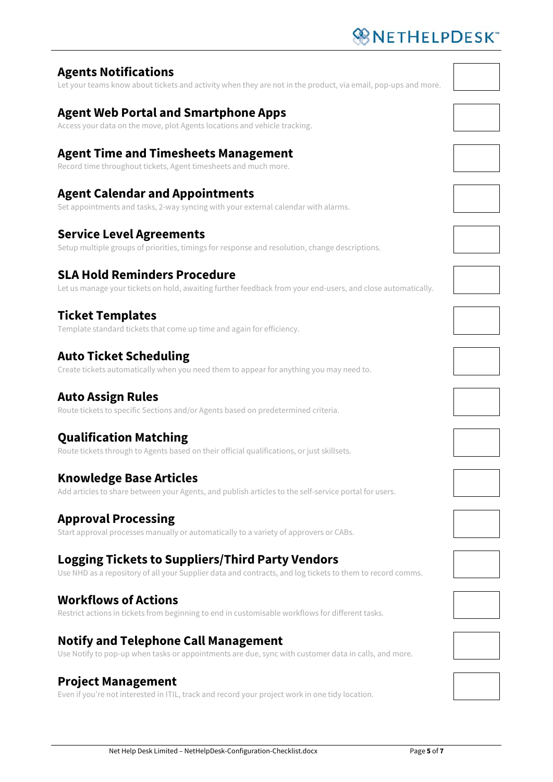# ※NETHELPDESK"

## **Agents Notifications**

Let your teams know about tickets and activity when they are not in the product, via email, pop-ups and more.

## **Agent Web Portal and Smartphone Apps**

Access your data on the move, plot Agents locations and vehicle tracking.

## **Agent Time and Timesheets Management**

Record time throughout tickets, Agent timesheets and much more.

## **Agent Calendar and Appointments**

Set appointments and tasks, 2-way syncing with your external calendar with alarms.

#### **Service Level Agreements**

Setup multiple groups of priorities, timings for response and resolution, change descriptions.

## **SLA Hold Reminders Procedure**

Let us manage your tickets on hold, awaiting further feedback from your end-users, and close automatically.

## **Ticket Templates**

Template standard tickets that come up time and again for efficiency.

## **Auto Ticket Scheduling**

Create tickets automatically when you need them to appear for anything you may need to.

### **Auto Assign Rules**

Route tickets to specific Sections and/or Agents based on predetermined criteria.

## **Qualification Matching**

Route tickets through to Agents based on their official qualifications, or just skillsets.

#### **Knowledge Base Articles**

Add articles to share between your Agents, and publish articles to the self-service portal for users.

## **Approval Processing**

Start approval processes manually or automatically to a variety of approvers or CABs.

## **Logging Tickets to Suppliers/Third Party Vendors**

Use NHD as a repository of all your Supplier data and contracts, and log tickets to them to record comms.

#### **Workflows of Actions**

Restrict actions in tickets from beginning to end in customisable workflows for different tasks.

#### **Notify and Telephone Call Management**

Use Notify to pop-up when tasks or appointments are due, sync with customer data in calls, and more.

#### **Project Management**

Even if you're not interested in ITIL, track and record your project work in one tidy location.





























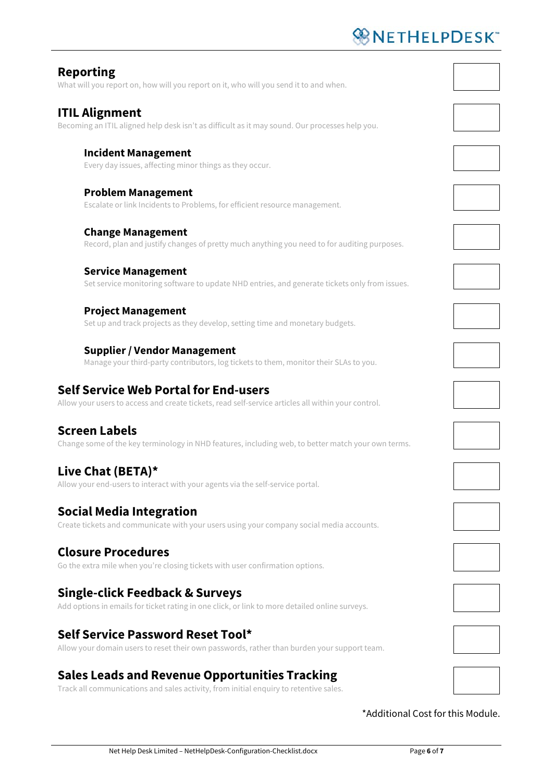# **WNETHELPDESK**

| <b>Reporting</b><br>What will you report on, how will you report on it, who will you send it to and when.                                          |  |
|----------------------------------------------------------------------------------------------------------------------------------------------------|--|
| <b>ITIL Alignment</b><br>Becoming an ITIL aligned help desk isn't as difficult as it may sound. Our processes help you.                            |  |
| <b>Incident Management</b><br>Every day issues, affecting minor things as they occur.                                                              |  |
| <b>Problem Management</b><br>Escalate or link Incidents to Problems, for efficient resource management.                                            |  |
| <b>Change Management</b><br>Record, plan and justify changes of pretty much anything you need to for auditing purposes.                            |  |
| <b>Service Management</b><br>Set service monitoring software to update NHD entries, and generate tickets only from issues.                         |  |
| <b>Project Management</b><br>Set up and track projects as they develop, setting time and monetary budgets.                                         |  |
| <b>Supplier / Vendor Management</b><br>Manage your third-party contributors, log tickets to them, monitor their SLAs to you.                       |  |
| <b>Self Service Web Portal for End-users</b><br>Allow your users to access and create tickets, read self-service articles all within your control. |  |
| <b>Screen Labels</b><br>Change some of the key terminology in NHD features, including web, to better match your own terms.                         |  |
| Live Chat (BETA)*                                                                                                                                  |  |

Allow your end-users to interact with your agents via the self-service portal.

#### **Social Media Integration**

Create tickets and communicate with your users using your company social media accounts.

#### **Closure Procedures**

Go the extra mile when you're closing tickets with user confirmation options.

#### **Single-click Feedback & Surveys**

Add options in emails for ticket rating in one click, or link to more detailed online surveys.

## **Self Service Password Reset Tool\***

Allow your domain users to reset their own passwords, rather than burden your support team.

## **Sales Leads and Revenue Opportunities Tracking**

Track all communications and sales activity, from initial enquiry to retentive sales.

\*Additional Cost for this Module.